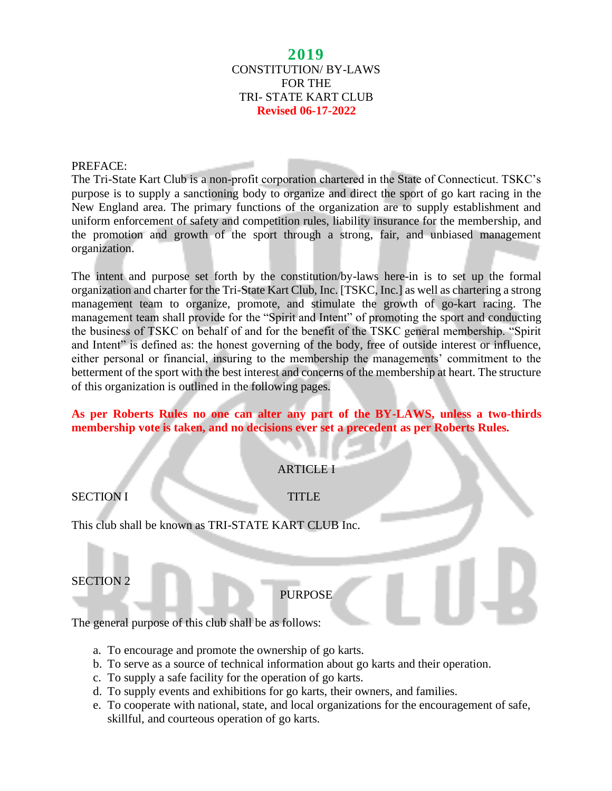### **2019** CONSTITUTION/ BY-LAWS FOR THE TRI- STATE KART CLUB **Revised 06-17-2022**

#### PREFACE:

The Tri-State Kart Club is a non-profit corporation chartered in the State of Connecticut. TSKC's purpose is to supply a sanctioning body to organize and direct the sport of go kart racing in the New England area. The primary functions of the organization are to supply establishment and uniform enforcement of safety and competition rules, liability insurance for the membership, and the promotion and growth of the sport through a strong, fair, and unbiased management organization.

The intent and purpose set forth by the constitution/by-laws here-in is to set up the formal organization and charter for the Tri-State Kart Club, Inc. [TSKC, Inc.] as well as chartering a strong management team to organize, promote, and stimulate the growth of go-kart racing. The management team shall provide for the "Spirit and Intent" of promoting the sport and conducting the business of TSKC on behalf of and for the benefit of the TSKC general membership. "Spirit and Intent" is defined as: the honest governing of the body, free of outside interest or influence, either personal or financial, insuring to the membership the managements' commitment to the betterment of the sport with the best interest and concerns of the membership at heart. The structure of this organization is outlined in the following pages.

## **As per Roberts Rules no one can alter any part of the BY-LAWS, unless a two-thirds membership vote is taken, and no decisions ever set a precedent as per Roberts Rules.**

## ARTICLE I

### SECTION I TITLE

This club shall be known as TRI-STATE KART CLUB Inc.

### SECTION 2

## PURPOSE

The general purpose of this club shall be as follows:

- a. To encourage and promote the ownership of go karts.
- b. To serve as a source of technical information about go karts and their operation.
- c. To supply a safe facility for the operation of go karts.
- d. To supply events and exhibitions for go karts, their owners, and families.
- e. To cooperate with national, state, and local organizations for the encouragement of safe, skillful, and courteous operation of go karts.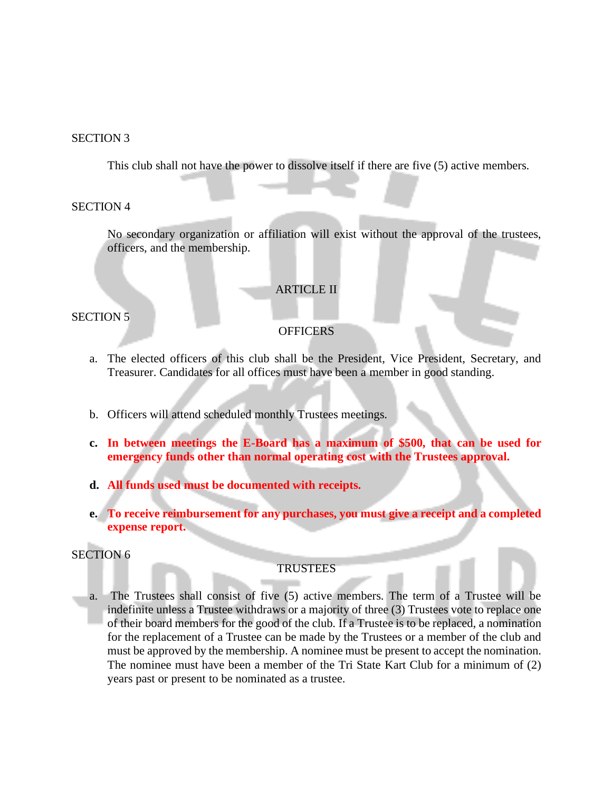#### SECTION 3

This club shall not have the power to dissolve itself if there are five (5) active members.

#### SECTION 4

No secondary organization or affiliation will exist without the approval of the trustees, officers, and the membership.

#### ARTICLE II

SECTION 5

#### **OFFICERS**

- a. The elected officers of this club shall be the President, Vice President, Secretary, and Treasurer. Candidates for all offices must have been a member in good standing.
- b. Officers will attend scheduled monthly Trustees meetings.
- **c. In between meetings the E-Board has a maximum of \$500, that can be used for emergency funds other than normal operating cost with the Trustees approval.**
- **d. All funds used must be documented with receipts.**
- **e. To receive reimbursement for any purchases, you must give a receipt and a completed expense report.**

### SECTION 6

## **TRUSTEES**

a. The Trustees shall consist of five (5) active members. The term of a Trustee will be indefinite unless a Trustee withdraws or a majority of three (3) Trustees vote to replace one of their board members for the good of the club. If a Trustee is to be replaced, a nomination for the replacement of a Trustee can be made by the Trustees or a member of the club and must be approved by the membership. A nominee must be present to accept the nomination. The nominee must have been a member of the Tri State Kart Club for a minimum of (2) years past or present to be nominated as a trustee.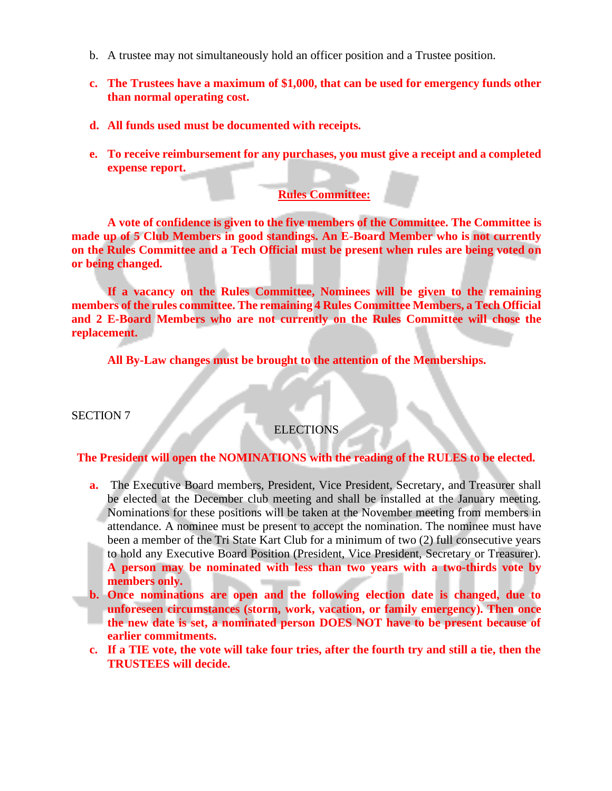- b. A trustee may not simultaneously hold an officer position and a Trustee position.
- **c. The Trustees have a maximum of \$1,000, that can be used for emergency funds other than normal operating cost.**
- **d. All funds used must be documented with receipts.**
- **e. To receive reimbursement for any purchases, you must give a receipt and a completed expense report.**

## **Rules Committee:**

**A vote of confidence is given to the five members of the Committee. The Committee is made up of 5 Club Members in good standings. An E-Board Member who is not currently on the Rules Committee and a Tech Official must be present when rules are being voted on or being changed.**

**If a vacancy on the Rules Committee, Nominees will be given to the remaining members of the rules committee. The remaining 4 Rules Committee Members, a Tech Official and 2 E-Board Members who are not currently on the Rules Committee will chose the replacement.**

**All By-Law changes must be brought to the attention of the Memberships.**

SECTION 7

## ELECTIONS

### **The President will open the NOMINATIONS with the reading of the RULES to be elected.**

- **a.** The Executive Board members, President, Vice President, Secretary, and Treasurer shall be elected at the December club meeting and shall be installed at the January meeting. Nominations for these positions will be taken at the November meeting from members in attendance. A nominee must be present to accept the nomination. The nominee must have been a member of the Tri State Kart Club for a minimum of two (2) full consecutive years to hold any Executive Board Position (President, Vice President, Secretary or Treasurer). **A person may be nominated with less than two years with a two-thirds vote by members only.**
- **b. Once nominations are open and the following election date is changed, due to unforeseen circumstances (storm, work, vacation, or family emergency). Then once the new date is set, a nominated person DOES NOT have to be present because of earlier commitments.**
- **c. If a TIE vote, the vote will take four tries, after the fourth try and still a tie, then the TRUSTEES will decide.**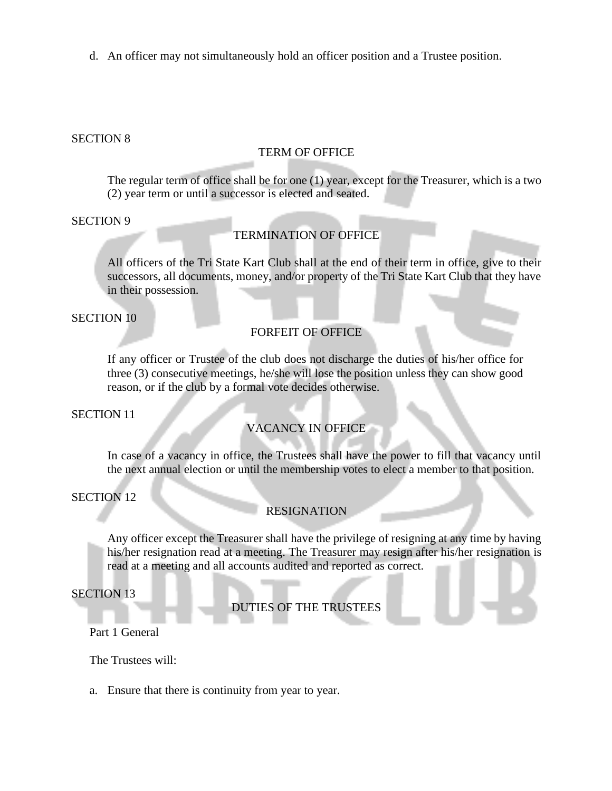d. An officer may not simultaneously hold an officer position and a Trustee position.

### SECTION 8

#### TERM OF OFFICE

The regular term of office shall be for one (1) year, except for the Treasurer, which is a two (2) year term or until a successor is elected and seated.

SECTION 9

### TERMINATION OF OFFICE

All officers of the Tri State Kart Club shall at the end of their term in office, give to their successors, all documents, money, and/or property of the Tri State Kart Club that they have in their possession.

SECTION 10

## FORFEIT OF OFFICE

If any officer or Trustee of the club does not discharge the duties of his/her office for three (3) consecutive meetings, he/she will lose the position unless they can show good reason, or if the club by a formal vote decides otherwise.

SECTION 11

## VACANCY IN OFFICE

In case of a vacancy in office, the Trustees shall have the power to fill that vacancy until the next annual election or until the membership votes to elect a member to that position.

SECTION 12

### RESIGNATION

Any officer except the Treasurer shall have the privilege of resigning at any time by having his/her resignation read at a meeting. The Treasurer may resign after his/her resignation is read at a meeting and all accounts audited and reported as correct.

SECTION 13

DUTIES OF THE TRUSTEES

Part 1 General

The Trustees will:

a. Ensure that there is continuity from year to year.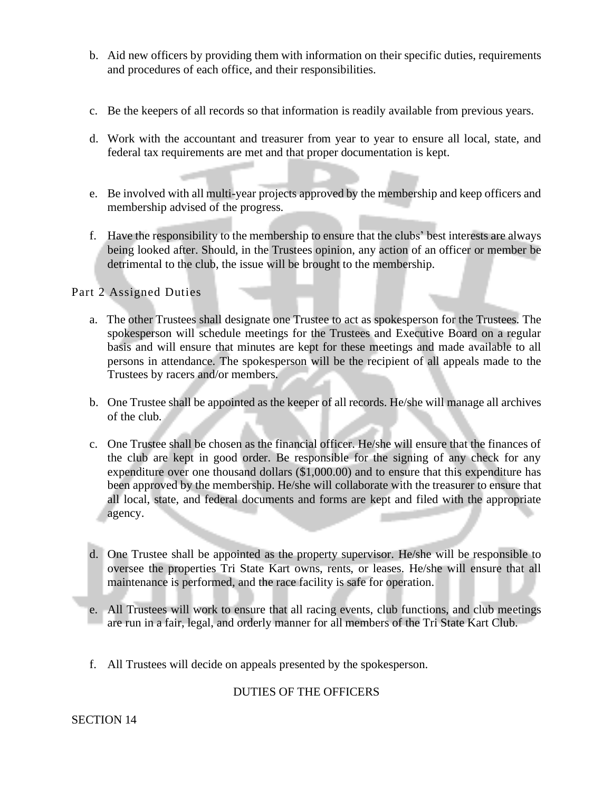- b. Aid new officers by providing them with information on their specific duties, requirements and procedures of each office, and their responsibilities.
- c. Be the keepers of all records so that information is readily available from previous years.
- d. Work with the accountant and treasurer from year to year to ensure all local, state, and federal tax requirements are met and that proper documentation is kept.
- e. Be involved with all multi-year projects approved by the membership and keep officers and membership advised of the progress.
- f. Have the responsibility to the membership to ensure that the clubs' best interests are always being looked after. Should, in the Trustees opinion, any action of an officer or member be detrimental to the club, the issue will be brought to the membership.

## Part 2 Assigned Duties

- a. The other Trustees shall designate one Trustee to act as spokesperson for the Trustees. The spokesperson will schedule meetings for the Trustees and Executive Board on a regular basis and will ensure that minutes are kept for these meetings and made available to all persons in attendance. The spokesperson will be the recipient of all appeals made to the Trustees by racers and/or members.
- b. One Trustee shall be appointed as the keeper of all records. He/she will manage all archives of the club.
- c. One Trustee shall be chosen as the financial officer. He/she will ensure that the finances of the club are kept in good order. Be responsible for the signing of any check for any expenditure over one thousand dollars (\$1,000.00) and to ensure that this expenditure has been approved by the membership. He/she will collaborate with the treasurer to ensure that all local, state, and federal documents and forms are kept and filed with the appropriate agency.
- d. One Trustee shall be appointed as the property supervisor. He/she will be responsible to oversee the properties Tri State Kart owns, rents, or leases. He/she will ensure that all maintenance is performed, and the race facility is safe for operation.
- e. All Trustees will work to ensure that all racing events, club functions, and club meetings are run in a fair, legal, and orderly manner for all members of the Tri State Kart Club.
- f. All Trustees will decide on appeals presented by the spokesperson.

## DUTIES OF THE OFFICERS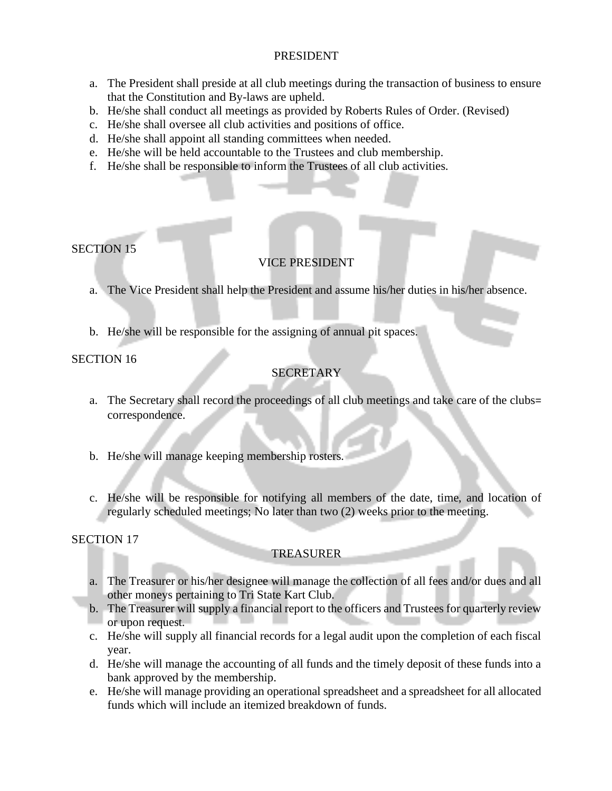### PRESIDENT

- a. The President shall preside at all club meetings during the transaction of business to ensure that the Constitution and By-laws are upheld.
- b. He/she shall conduct all meetings as provided by Roberts Rules of Order. (Revised)
- c. He/she shall oversee all club activities and positions of office.
- d. He/she shall appoint all standing committees when needed.
- e. He/she will be held accountable to the Trustees and club membership.
- f. He/she shall be responsible to inform the Trustees of all club activities.

## SECTION 15

# VICE PRESIDENT

- a. The Vice President shall help the President and assume his/her duties in his/her absence.
- b. He/she will be responsible for the assigning of annual pit spaces.

## SECTION 16

# **SECRETARY**

- a. The Secretary shall record the proceedings of all club meetings and take care of the clubs= correspondence.
- b. He/she will manage keeping membership rosters.
- c. He/she will be responsible for notifying all members of the date, time, and location of regularly scheduled meetings; No later than two (2) weeks prior to the meeting.

## SECTION 17

## TREASURER

- a. The Treasurer or his/her designee will manage the collection of all fees and/or dues and all other moneys pertaining to Tri State Kart Club.
- b. The Treasurer will supply a financial report to the officers and Trustees for quarterly review or upon request.
- c. He/she will supply all financial records for a legal audit upon the completion of each fiscal year.
- d. He/she will manage the accounting of all funds and the timely deposit of these funds into a bank approved by the membership.
- e. He/she will manage providing an operational spreadsheet and a spreadsheet for all allocated funds which will include an itemized breakdown of funds.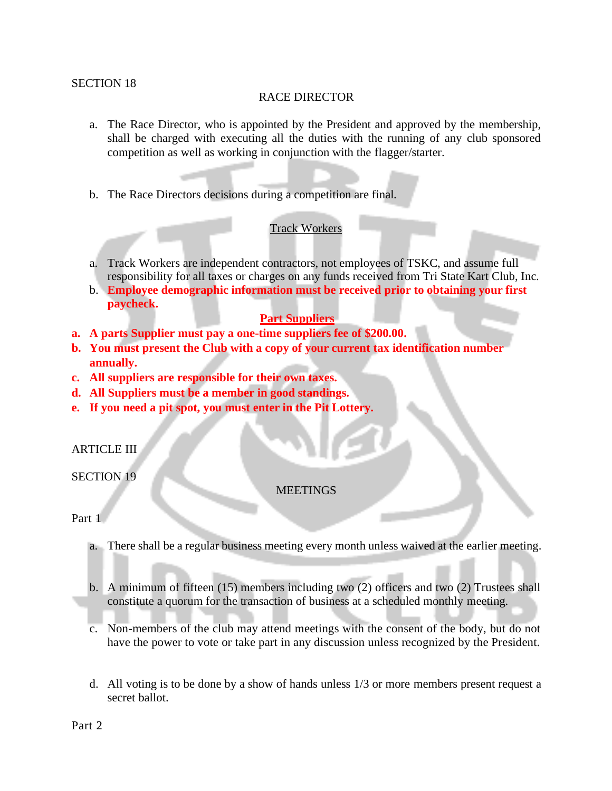#### SECTION 18

### RACE DIRECTOR

- a. The Race Director, who is appointed by the President and approved by the membership, shall be charged with executing all the duties with the running of any club sponsored competition as well as working in conjunction with the flagger/starter.
- b. The Race Directors decisions during a competition are final.

### Track Workers

- a. Track Workers are independent contractors, not employees of TSKC, and assume full responsibility for all taxes or charges on any funds received from Tri State Kart Club, Inc.
- b. **Employee demographic information must be received prior to obtaining your first paycheck.**

### **Part Suppliers**

- **a. A parts Supplier must pay a one-time suppliers fee of \$200.00.**
- **b. You must present the Club with a copy of your current tax identification number annually.**
- **c. All suppliers are responsible for their own taxes.**
- **d. All Suppliers must be a member in good standings.**
- **e. If you need a pit spot, you must enter in the Pit Lottery.**

#### ARTICLE III

### SECTION 19

#### **MEETINGS**

### Part 1

- a. There shall be a regular business meeting every month unless waived at the earlier meeting.
- b. A minimum of fifteen (15) members including two (2) officers and two (2) Trustees shall constitute a quorum for the transaction of business at a scheduled monthly meeting.
- c. Non-members of the club may attend meetings with the consent of the body, but do not have the power to vote or take part in any discussion unless recognized by the President.
- d. All voting is to be done by a show of hands unless 1/3 or more members present request a secret ballot.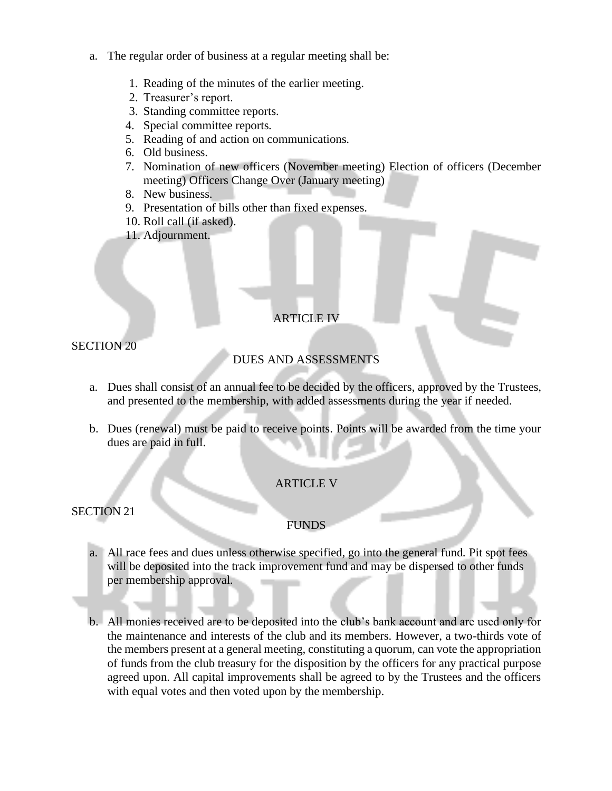- a. The regular order of business at a regular meeting shall be:
	- 1. Reading of the minutes of the earlier meeting.
	- 2. Treasurer's report.
	- 3. Standing committee reports.
	- 4. Special committee reports.
	- 5. Reading of and action on communications.
	- 6. Old business.
	- 7. Nomination of new officers (November meeting) Election of officers (December meeting) Officers Change Over (January meeting)
	- 8. New business.
	- 9. Presentation of bills other than fixed expenses.
	- 10. Roll call (if asked).
	- 11. Adjournment.

# ARTICLE IV

SECTION 20

## DUES AND ASSESSMENTS

- a. Dues shall consist of an annual fee to be decided by the officers, approved by the Trustees, and presented to the membership, with added assessments during the year if needed.
- b. Dues (renewal) must be paid to receive points. Points will be awarded from the time your dues are paid in full.

## ARTICLE V

SECTION 21

## FUNDS

- a. All race fees and dues unless otherwise specified, go into the general fund. Pit spot fees will be deposited into the track improvement fund and may be dispersed to other funds per membership approval.
- b. All monies received are to be deposited into the club's bank account and are used only for the maintenance and interests of the club and its members. However, a two-thirds vote of the members present at a general meeting, constituting a quorum, can vote the appropriation of funds from the club treasury for the disposition by the officers for any practical purpose agreed upon. All capital improvements shall be agreed to by the Trustees and the officers with equal votes and then voted upon by the membership.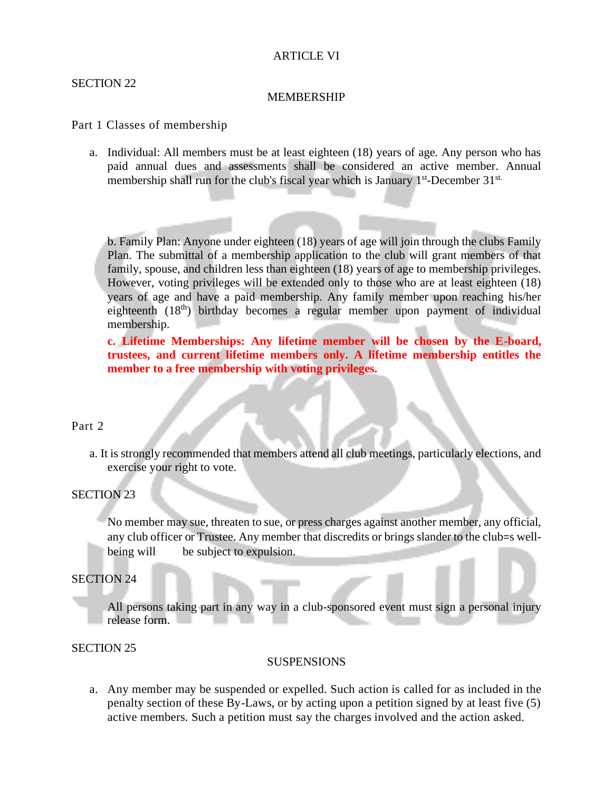### ARTICLE VI

#### SECTION 22

#### MEMBERSHIP

#### Part 1 Classes of membership

a. Individual: All members must be at least eighteen (18) years of age. Any person who has paid annual dues and assessments shall be considered an active member. Annual membership shall run for the club's fiscal year which is January 1<sup>st</sup>-December 31<sup>st.</sup>

b. Family Plan: Anyone under eighteen (18) years of age will join through the clubs Family Plan. The submittal of a membership application to the club will grant members of that family, spouse, and children less than eighteen (18) years of age to membership privileges. However, voting privileges will be extended only to those who are at least eighteen (18) years of age and have a paid membership. Any family member upon reaching his/her eighteenth (18<sup>th</sup>) birthday becomes a regular member upon payment of individual membership.

**c. Lifetime Memberships: Any lifetime member will be chosen by the E-board, trustees, and current lifetime members only. A lifetime membership entitles the member to a free membership with voting privileges.**

#### Part 2

a. It is strongly recommended that members attend all club meetings, particularly elections, and exercise your right to vote.

### SECTION 23

No member may sue, threaten to sue, or press charges against another member, any official, any club officer or Trustee. Any member that discredits or brings slander to the club=s wellbeing will be subject to expulsion.

### SECTION 24

All persons taking part in any way in a club-sponsored event must sign a personal injury release form.

#### SECTION 25

#### **SUSPENSIONS**

a. Any member may be suspended or expelled. Such action is called for as included in the penalty section of these By-Laws, or by acting upon a petition signed by at least five (5) active members. Such a petition must say the charges involved and the action asked.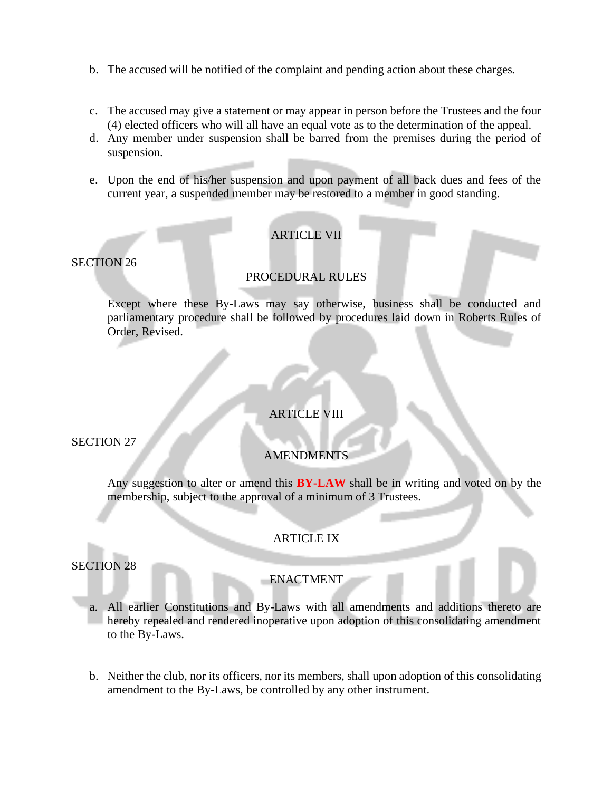- b. The accused will be notified of the complaint and pending action about these charges.
- c. The accused may give a statement or may appear in person before the Trustees and the four (4) elected officers who will all have an equal vote as to the determination of the appeal.
- d. Any member under suspension shall be barred from the premises during the period of suspension.
- e. Upon the end of his/her suspension and upon payment of all back dues and fees of the current year, a suspended member may be restored to a member in good standing.

## **ARTICLE VII**

SECTION 26

### PROCEDURAL RULES

Except where these By-Laws may say otherwise, business shall be conducted and parliamentary procedure shall be followed by procedures laid down in Roberts Rules of Order, Revised.

## ARTICLE VIII

SECTION 27

## **AMENDMENTS**

Any suggestion to alter or amend this **BY-LAW** shall be in writing and voted on by the membership, subject to the approval of a minimum of 3 Trustees.

## ARTICLE IX

SECTION 28

### ENACTMENT

- a. All earlier Constitutions and By-Laws with all amendments and additions thereto are hereby repealed and rendered inoperative upon adoption of this consolidating amendment to the By-Laws.
- b. Neither the club, nor its officers, nor its members, shall upon adoption of this consolidating amendment to the By-Laws, be controlled by any other instrument.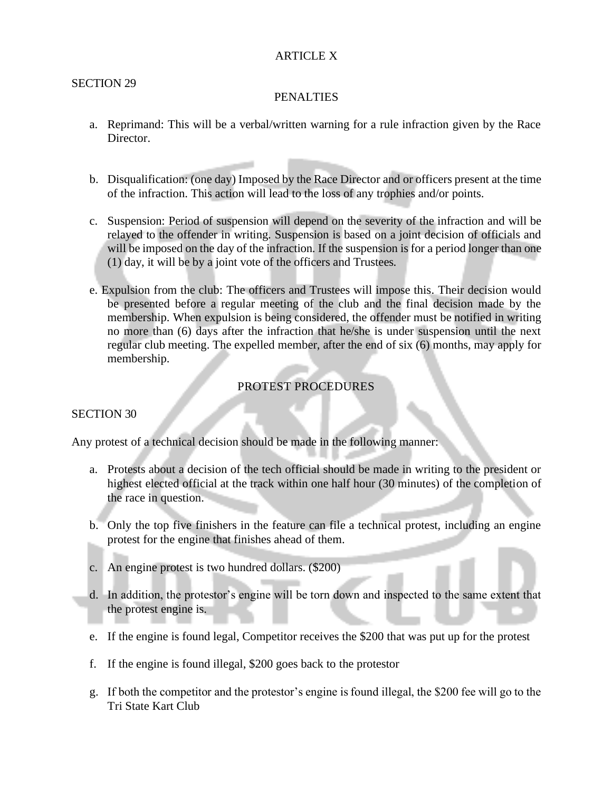### ARTICLE X

### SECTION 29

### PENALTIES

- a. Reprimand: This will be a verbal/written warning for a rule infraction given by the Race Director.
- b. Disqualification: (one day) Imposed by the Race Director and or officers present at the time of the infraction. This action will lead to the loss of any trophies and/or points.
- c. Suspension: Period of suspension will depend on the severity of the infraction and will be relayed to the offender in writing. Suspension is based on a joint decision of officials and will be imposed on the day of the infraction. If the suspension is for a period longer than one (1) day, it will be by a joint vote of the officers and Trustees.
- e. Expulsion from the club: The officers and Trustees will impose this. Their decision would be presented before a regular meeting of the club and the final decision made by the membership. When expulsion is being considered, the offender must be notified in writing no more than (6) days after the infraction that he/she is under suspension until the next regular club meeting. The expelled member, after the end of six (6) months, may apply for membership.

## PROTEST PROCEDURES

### SECTION 30

Any protest of a technical decision should be made in the following manner:

- a. Protests about a decision of the tech official should be made in writing to the president or highest elected official at the track within one half hour (30 minutes) of the completion of the race in question.
- b. Only the top five finishers in the feature can file a technical protest, including an engine protest for the engine that finishes ahead of them.
- c. An engine protest is two hundred dollars. (\$200)
- d. In addition, the protestor's engine will be torn down and inspected to the same extent that the protest engine is.
- e. If the engine is found legal, Competitor receives the \$200 that was put up for the protest
- f. If the engine is found illegal, \$200 goes back to the protestor
- g. If both the competitor and the protestor's engine is found illegal, the \$200 fee will go to the Tri State Kart Club